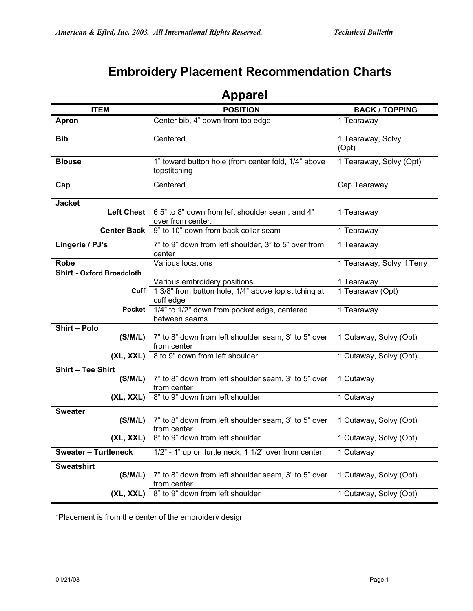## **Embroidery Placement Recommendation Charts**

| <b>Apparel</b>                      |                                                                                                        |                                |  |
|-------------------------------------|--------------------------------------------------------------------------------------------------------|--------------------------------|--|
| <b>ITEM</b>                         | <b>POSITION</b>                                                                                        | <b>BACK / TOPPING</b>          |  |
| Apron                               | Center bib, 4" down from top edge                                                                      | $\overline{1}$ Tearaway        |  |
| <b>Bib</b>                          | Centered                                                                                               | 1 Tearaway, Solvy<br>(Opt)     |  |
| <b>Blouse</b>                       | 1" toward button hole (from center fold, 1/4" above<br>topstitching                                    | 1 Tearaway, Solvy (Opt)        |  |
| Cap                                 | Centered                                                                                               | Cap Tearaway                   |  |
| <b>Jacket</b><br><b>Left Chest</b>  | 6.5" to 8" down from left shoulder seam, and 4"<br>over from center.                                   | 1 Tearaway                     |  |
|                                     | Center Back 9" to 10" down from back collar seam                                                       | 1 Tearaway                     |  |
| Lingerie / PJ's                     | 7" to 9" down from left shoulder, 3" to 5" over from<br>center                                         | 1 Tearaway                     |  |
| <b>Robe</b>                         | Various locations                                                                                      | 1 Tearaway, Solvy if Terry     |  |
| <b>Shirt - Oxford Broadcloth</b>    |                                                                                                        |                                |  |
|                                     | Various embroidery positions<br>Cuff 1 3/8" from button hole, 1/4" above top stitching at<br>cuff edge | 1 Tearaway<br>1 Tearaway (Opt) |  |
|                                     | Pocket 1/4" to 1/2" down from pocket edge, centered<br>between seams                                   | 1 Tearaway                     |  |
| Shirt - Polo<br>(S/M/L)             | 7" to 8" down from left shoulder seam, 3" to 5" over<br>from center                                    | 1 Cutaway, Solvy (Opt)         |  |
| (XL, XXL)                           | 8 to 9" down from left shoulder                                                                        | 1 Cutaway, Solvy (Opt)         |  |
| <b>Shirt - Tee Shirt</b><br>(S/M/L) | 7" to 8" down from left shoulder seam, 3" to 5" over<br>from center                                    | 1 Cutaway                      |  |
| (XL, XXL)                           | 8" to 9" down from left shoulder                                                                       | 1 Cutaway                      |  |
| <b>Sweater</b><br>(S/M/L)           | 7" to 8" down from left shoulder seam, 3" to 5" over<br>from center                                    | 1 Cutaway, Solvy (Opt)         |  |
|                                     | (XL, XXL) 8" to 9" down from left shoulder                                                             | 1 Cutaway, Solvy (Opt)         |  |
| <b>Sweater - Turtleneck</b>         | 1/2" - 1" up on turtle neck, 1 1/2" over from center                                                   | 1 Cutaway                      |  |
| <b>Sweatshirt</b><br>(S/M/L)        | 7" to 8" down from left shoulder seam, 3" to 5" over<br>from center                                    | 1 Cutaway, Solvy (Opt)         |  |
| (XL, XXL)                           | 8" to 9" down from left shoulder                                                                       | 1 Cutaway, Solvy (Opt)         |  |

\*Placement is from the center of the embroidery design.